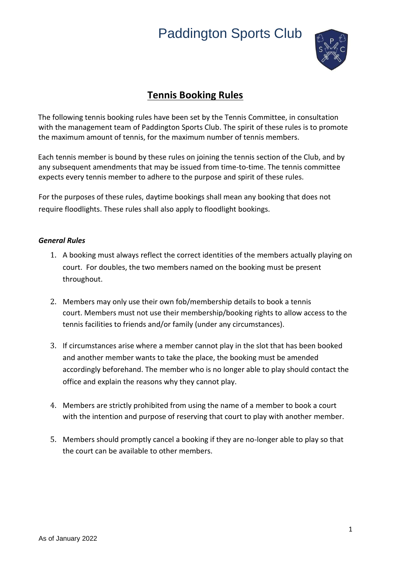

## **Tennis Booking Rules**

The following tennis booking rules have been set by the Tennis Committee, in consultation with the management team of Paddington Sports Club. The spirit of these rules is to promote the maximum amount of tennis, for the maximum number of tennis members.

Each tennis member is bound by these rules on joining the tennis section of the Club, and by any subsequent amendments that may be issued from time-to-time. The tennis committee expects every tennis member to adhere to the purpose and spirit of these rules.

For the purposes of these rules, daytime bookings shall mean any booking that does not require floodlights. These rules shall also apply to floodlight bookings.

#### *General Rules*

- 1. A booking must always reflect the correct identities of the members actually playing on court. For doubles, the two members named on the booking must be present throughout.
- 2. Members may only use their own fob/membership details to book a tennis court. Members must not use their membership/booking rights to allow access to the tennis facilities to friends and/or family (under any circumstances).
- 3. If circumstances arise where a member cannot play in the slot that has been booked and another member wants to take the place, the booking must be amended accordingly beforehand. The member who is no longer able to play should contact the office and explain the reasons why they cannot play.
- 4. Members are strictly prohibited from using the name of a member to book a court with the intention and purpose of reserving that court to play with another member.
- 5. Members should promptly cancel a booking if they are no-longer able to play so that the court can be available to other members.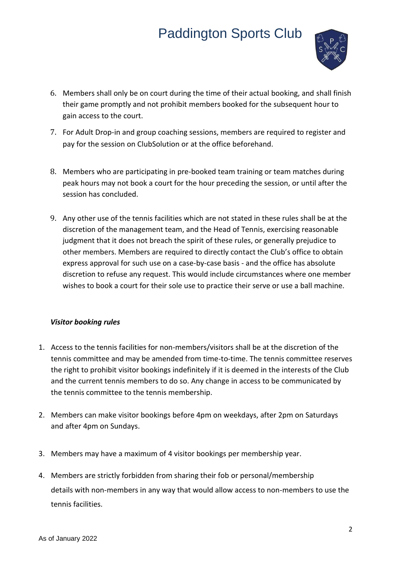

- 6. Members shall only be on court during the time of their actual booking, and shall finish their game promptly and not prohibit members booked for the subsequent hour to gain access to the court.
- 7. For Adult Drop-in and group coaching sessions, members are required to register and pay for the session on ClubSolution or at the office beforehand.
- 8. Members who are participating in pre-booked team training or team matches during peak hours may not book a court for the hour preceding the session, or until after the session has concluded.
- 9. Any other use of the tennis facilities which are not stated in these rules shall be at the discretion of the management team, and the Head of Tennis, exercising reasonable judgment that it does not breach the spirit of these rules, or generally prejudice to other members. Members are required to directly contact the Club's office to obtain express approval for such use on a case-by-case basis - and the office has absolute discretion to refuse any request. This would include circumstances where one member wishes to book a court for their sole use to practice their serve or use a ball machine.

### *Visitor booking rules*

- 1. Access to the tennis facilities for non-members/visitors shall be at the discretion of the tennis committee and may be amended from time-to-time. The tennis committee reserves the right to prohibit visitor bookings indefinitely if it is deemed in the interests of the Club and the current tennis members to do so. Any change in access to be communicated by the tennis committee to the tennis membership.
- 2. Members can make visitor bookings before 4pm on weekdays, after 2pm on Saturdays and after 4pm on Sundays.
- 3. Members may have a maximum of 4 visitor bookings per membership year.
- 4. Members are strictly forbidden from sharing their fob or personal/membership details with non-members in any way that would allow access to non-members to use the tennis facilities.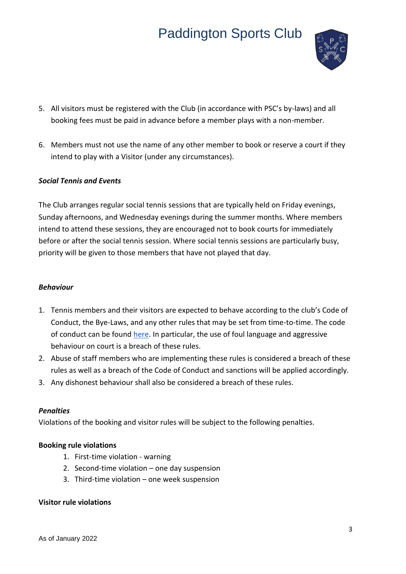

- 5. All visitors must be registered with the Club (in accordance with PSC's by-laws) and all booking fees must be paid in advance before a member plays with a non-member.
- 6. Members must not use the name of any other member to book or reserve a court if they intend to play with a Visitor (under any circumstances).

### *Social Tennis and Events*

The Club arranges regular social tennis sessions that are typically held on Friday evenings, Sunday afternoons, and Wednesday evenings during the summer months. Where members intend to attend these sessions, they are encouraged not to book courts for immediately before or after the social tennis session. Where social tennis sessions are particularly busy, priority will be given to those members that have not played that day.

#### *Behaviour*

- 1. Tennis members and their visitors are expected to behave according to the club's Code of Conduct, the Bye-Laws, and any other rules that may be set from time-to-time. The code of conduct can be found [here.](https://9db58e59-2b6b-409d-8af5-b9660a17a887.filesusr.com/ugd/6448dc_523febb17f7c498a8fce4fb453a81362.pdf) In particular, the use of foul language and aggressive behaviour on court is a breach of these rules.
- 2. Abuse of staff members who are implementing these rules is considered a breach of these rules as well as a breach of the Code of Conduct and sanctions will be applied accordingly.
- 3. Any dishonest behaviour shall also be considered a breach of these rules.

#### *Penalties*

Violations of the booking and visitor rules will be subject to the following penalties.

#### **Booking rule violations**

- 1. First-time violation warning
- 2. Second-time violation one day suspension
- 3. Third-time violation one week suspension

#### **Visitor rule violations**